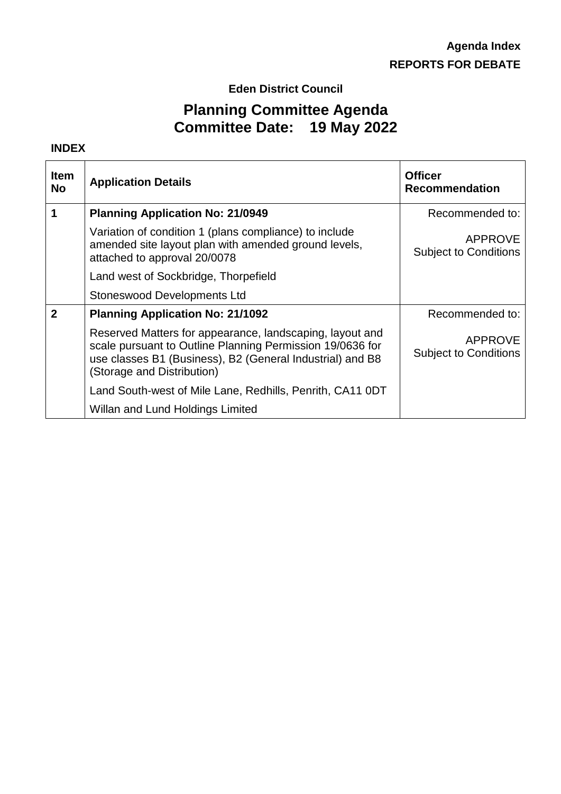**Eden District Council**

# **Planning Committee Agenda Committee Date: 19 May 2022**

#### **INDEX**

| <b>Item</b><br><b>No</b> | <b>Application Details</b>                                                                                                                                                                                       | <b>Officer</b><br><b>Recommendation</b>        |
|--------------------------|------------------------------------------------------------------------------------------------------------------------------------------------------------------------------------------------------------------|------------------------------------------------|
| 1                        | <b>Planning Application No: 21/0949</b>                                                                                                                                                                          | Recommended to:                                |
|                          | Variation of condition 1 (plans compliance) to include<br>amended site layout plan with amended ground levels,<br>attached to approval 20/0078                                                                   | <b>APPROVE</b><br><b>Subject to Conditions</b> |
|                          | Land west of Sockbridge, Thorpefield                                                                                                                                                                             |                                                |
|                          | <b>Stoneswood Developments Ltd</b>                                                                                                                                                                               |                                                |
| $\overline{2}$           | <b>Planning Application No: 21/1092</b>                                                                                                                                                                          | Recommended to:                                |
|                          | Reserved Matters for appearance, landscaping, layout and<br>scale pursuant to Outline Planning Permission 19/0636 for<br>use classes B1 (Business), B2 (General Industrial) and B8<br>(Storage and Distribution) | <b>APPROVE</b><br><b>Subject to Conditions</b> |
|                          | Land South-west of Mile Lane, Redhills, Penrith, CA11 0DT                                                                                                                                                        |                                                |
|                          | Willan and Lund Holdings Limited                                                                                                                                                                                 |                                                |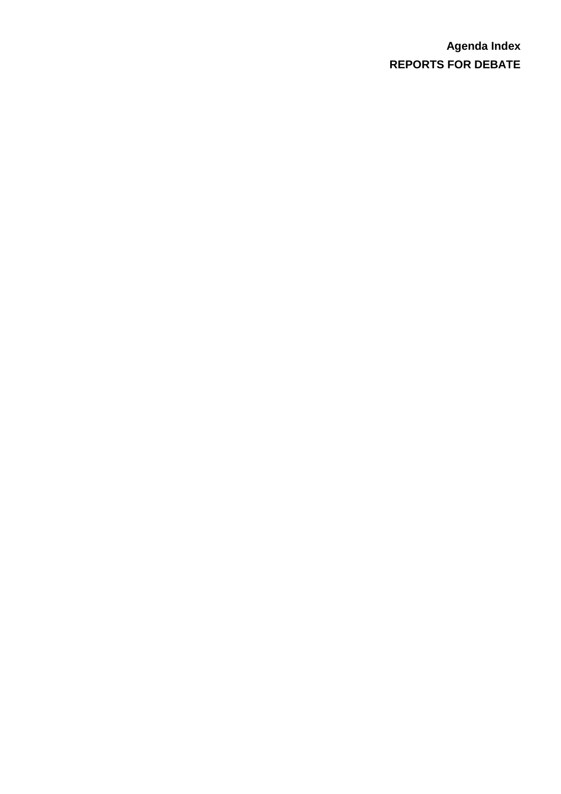# **Agenda Index REPORTS FOR DEBATE**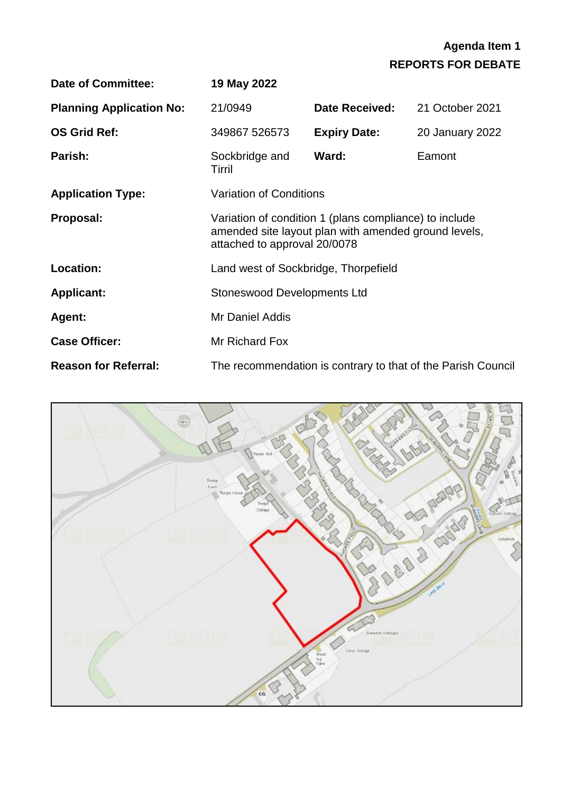| <b>Date of Committee:</b>       | 19 May 2022                                                                                                                                    |                     |                                                              |
|---------------------------------|------------------------------------------------------------------------------------------------------------------------------------------------|---------------------|--------------------------------------------------------------|
| <b>Planning Application No:</b> | 21/0949                                                                                                                                        | Date Received:      | 21 October 2021                                              |
| <b>OS Grid Ref:</b>             | 349867 526573                                                                                                                                  | <b>Expiry Date:</b> | 20 January 2022                                              |
| Parish:                         | Sockbridge and<br>Tirril                                                                                                                       | Ward:               | Eamont                                                       |
| <b>Application Type:</b>        | <b>Variation of Conditions</b>                                                                                                                 |                     |                                                              |
| Proposal:                       | Variation of condition 1 (plans compliance) to include<br>amended site layout plan with amended ground levels,<br>attached to approval 20/0078 |                     |                                                              |
| <b>Location:</b>                | Land west of Sockbridge, Thorpefield                                                                                                           |                     |                                                              |
| <b>Applicant:</b>               | <b>Stoneswood Developments Ltd</b>                                                                                                             |                     |                                                              |
| Agent:                          | Mr Daniel Addis                                                                                                                                |                     |                                                              |
| <b>Case Officer:</b>            | Mr Richard Fox                                                                                                                                 |                     |                                                              |
| <b>Reason for Referral:</b>     |                                                                                                                                                |                     | The recommendation is contrary to that of the Parish Council |

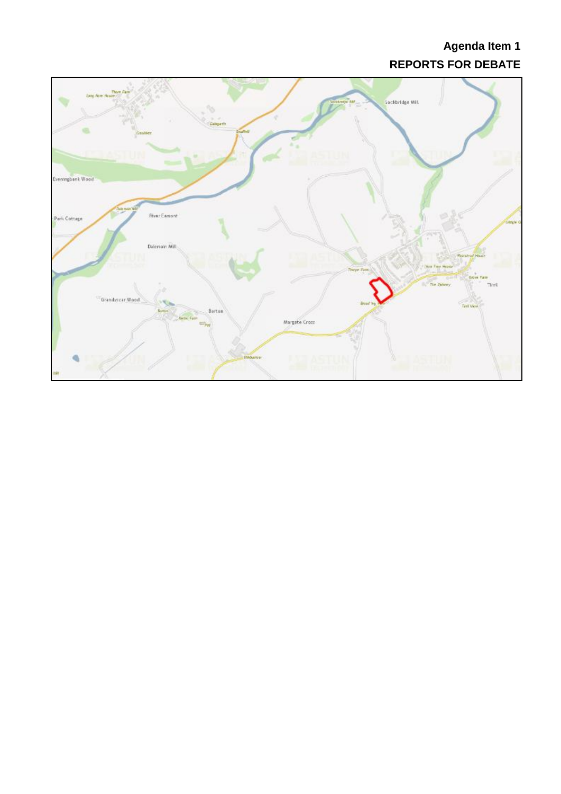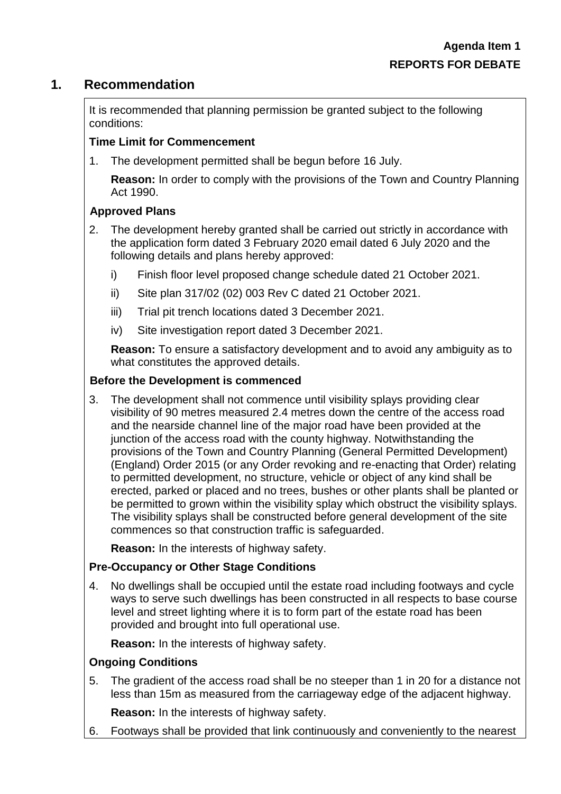# **1. Recommendation**

It is recommended that planning permission be granted subject to the following conditions:

### **Time Limit for Commencement**

1. The development permitted shall be begun before 16 July.

**Reason:** In order to comply with the provisions of the Town and Country Planning Act 1990.

## **Approved Plans**

- 2. The development hereby granted shall be carried out strictly in accordance with the application form dated 3 February 2020 email dated 6 July 2020 and the following details and plans hereby approved:
	- i) Finish floor level proposed change schedule dated 21 October 2021.
	- ii) Site plan 317/02 (02) 003 Rev C dated 21 October 2021.
	- iii) Trial pit trench locations dated 3 December 2021.
	- iv) Site investigation report dated 3 December 2021.

**Reason:** To ensure a satisfactory development and to avoid any ambiguity as to what constitutes the approved details.

#### **Before the Development is commenced**

3. The development shall not commence until visibility splays providing clear visibility of 90 metres measured 2.4 metres down the centre of the access road and the nearside channel line of the major road have been provided at the junction of the access road with the county highway. Notwithstanding the provisions of the Town and Country Planning (General Permitted Development) (England) Order 2015 (or any Order revoking and re-enacting that Order) relating to permitted development, no structure, vehicle or object of any kind shall be erected, parked or placed and no trees, bushes or other plants shall be planted or be permitted to grown within the visibility splay which obstruct the visibility splays. The visibility splays shall be constructed before general development of the site commences so that construction traffic is safeguarded.

**Reason:** In the interests of highway safety.

## **Pre-Occupancy or Other Stage Conditions**

4. No dwellings shall be occupied until the estate road including footways and cycle ways to serve such dwellings has been constructed in all respects to base course level and street lighting where it is to form part of the estate road has been provided and brought into full operational use.

**Reason:** In the interests of highway safety.

## **Ongoing Conditions**

5. The gradient of the access road shall be no steeper than 1 in 20 for a distance not less than 15m as measured from the carriageway edge of the adjacent highway.

**Reason:** In the interests of highway safety.

6. Footways shall be provided that link continuously and conveniently to the nearest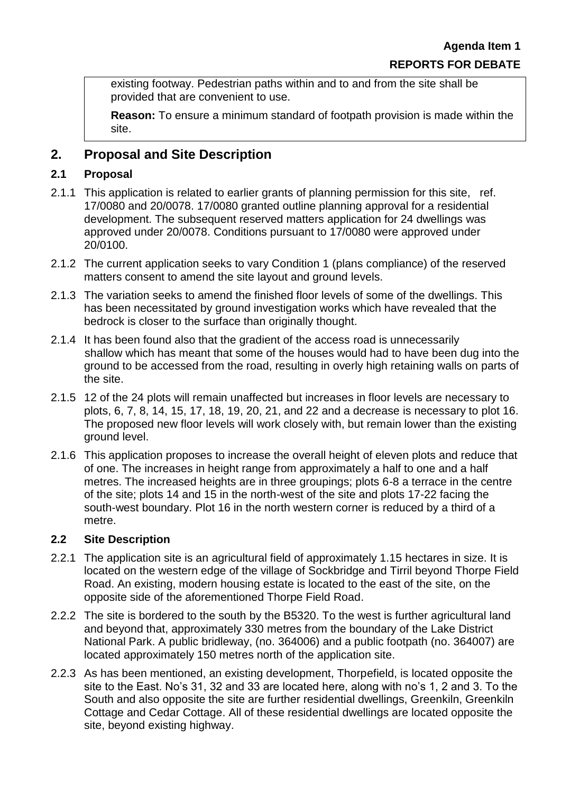existing footway. Pedestrian paths within and to and from the site shall be provided that are convenient to use.

**Reason:** To ensure a minimum standard of footpath provision is made within the site.

# **2. Proposal and Site Description**

### **2.1 Proposal**

- 2.1.1 This application is related to earlier grants of planning permission for this site, ref. 17/0080 and 20/0078. 17/0080 granted outline planning approval for a residential development. The subsequent reserved matters application for 24 dwellings was approved under 20/0078. Conditions pursuant to 17/0080 were approved under 20/0100.
- 2.1.2 The current application seeks to vary Condition 1 (plans compliance) of the reserved matters consent to amend the site layout and ground levels.
- 2.1.3 The variation seeks to amend the finished floor levels of some of the dwellings. This has been necessitated by ground investigation works which have revealed that the bedrock is closer to the surface than originally thought.
- 2.1.4 It has been found also that the gradient of the access road is unnecessarily shallow which has meant that some of the houses would had to have been dug into the ground to be accessed from the road, resulting in overly high retaining walls on parts of the site.
- 2.1.5 12 of the 24 plots will remain unaffected but increases in floor levels are necessary to plots, 6, 7, 8, 14, 15, 17, 18, 19, 20, 21, and 22 and a decrease is necessary to plot 16. The proposed new floor levels will work closely with, but remain lower than the existing ground level.
- 2.1.6 This application proposes to increase the overall height of eleven plots and reduce that of one. The increases in height range from approximately a half to one and a half metres. The increased heights are in three groupings; plots 6-8 a terrace in the centre of the site; plots 14 and 15 in the north-west of the site and plots 17-22 facing the south-west boundary. Plot 16 in the north western corner is reduced by a third of a metre.

#### **2.2 Site Description**

- 2.2.1 The application site is an agricultural field of approximately 1.15 hectares in size. It is located on the western edge of the village of Sockbridge and Tirril beyond Thorpe Field Road. An existing, modern housing estate is located to the east of the site, on the opposite side of the aforementioned Thorpe Field Road.
- 2.2.2 The site is bordered to the south by the B5320. To the west is further agricultural land and beyond that, approximately 330 metres from the boundary of the Lake District National Park. A public bridleway, (no. 364006) and a public footpath (no. 364007) are located approximately 150 metres north of the application site.
- 2.2.3 As has been mentioned, an existing development, Thorpefield, is located opposite the site to the East. No's 31, 32 and 33 are located here, along with no's 1, 2 and 3. To the South and also opposite the site are further residential dwellings, Greenkiln, Greenkiln Cottage and Cedar Cottage. All of these residential dwellings are located opposite the site, beyond existing highway.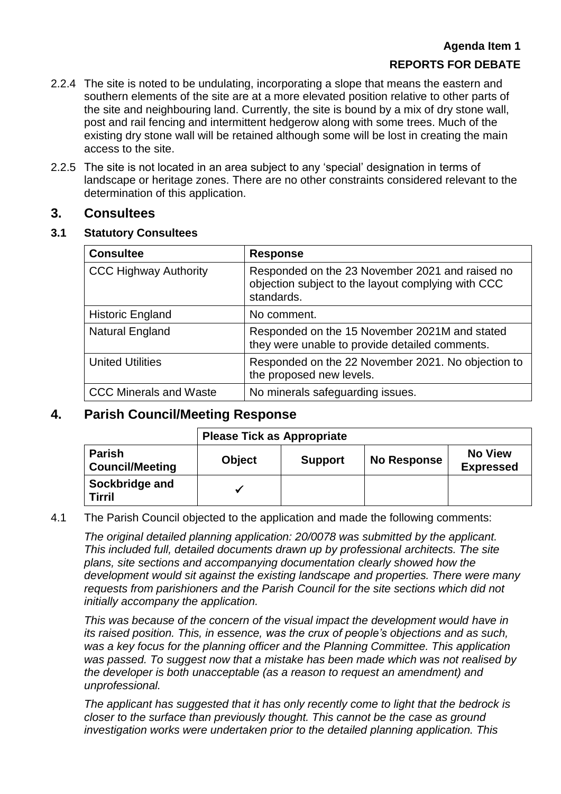- 2.2.4 The site is noted to be undulating, incorporating a slope that means the eastern and southern elements of the site are at a more elevated position relative to other parts of the site and neighbouring land. Currently, the site is bound by a mix of dry stone wall, post and rail fencing and intermittent hedgerow along with some trees. Much of the existing dry stone wall will be retained although some will be lost in creating the main access to the site.
- 2.2.5 The site is not located in an area subject to any 'special' designation in terms of landscape or heritage zones. There are no other constraints considered relevant to the determination of this application.

## **3. Consultees**

### **3.1 Statutory Consultees**

| <b>Consultee</b>              | <b>Response</b>                                                                                                     |
|-------------------------------|---------------------------------------------------------------------------------------------------------------------|
| <b>CCC Highway Authority</b>  | Responded on the 23 November 2021 and raised no<br>objection subject to the layout complying with CCC<br>standards. |
| <b>Historic England</b>       | No comment.                                                                                                         |
| Natural England               | Responded on the 15 November 2021M and stated<br>they were unable to provide detailed comments.                     |
| <b>United Utilities</b>       | Responded on the 22 November 2021. No objection to<br>the proposed new levels.                                      |
| <b>CCC Minerals and Waste</b> | No minerals safeguarding issues.                                                                                    |

# **4. Parish Council/Meeting Response**

# **Please Tick as Appropriate Parish**   $\begin{array}{c|c} \textsf{Parish} & \textsf{O} \textsf{bject} \end{array} \begin{array}{c} \textsf{D} \textsf{bject} & \textsf{S} \textsf{upport} \end{array} \begin{array}{c} \textsf{No Response} \end{array} \begin{array}{c} \textsf{No View} \end{array}$ **Expressed Sockbridge and Tirril**

## 4.1 The Parish Council objected to the application and made the following comments:

*The original detailed planning application: 20/0078 was submitted by the applicant. This included full, detailed documents drawn up by professional architects. The site plans, site sections and accompanying documentation clearly showed how the development would sit against the existing landscape and properties. There were many requests from parishioners and the Parish Council for the site sections which did not initially accompany the application.*

*This was because of the concern of the visual impact the development would have in its raised position. This, in essence, was the crux of people's objections and as such, was a key focus for the planning officer and the Planning Committee. This application was passed. To suggest now that a mistake has been made which was not realised by the developer is both unacceptable (as a reason to request an amendment) and unprofessional.*

*The applicant has suggested that it has only recently come to light that the bedrock is closer to the surface than previously thought. This cannot be the case as ground investigation works were undertaken prior to the detailed planning application. This*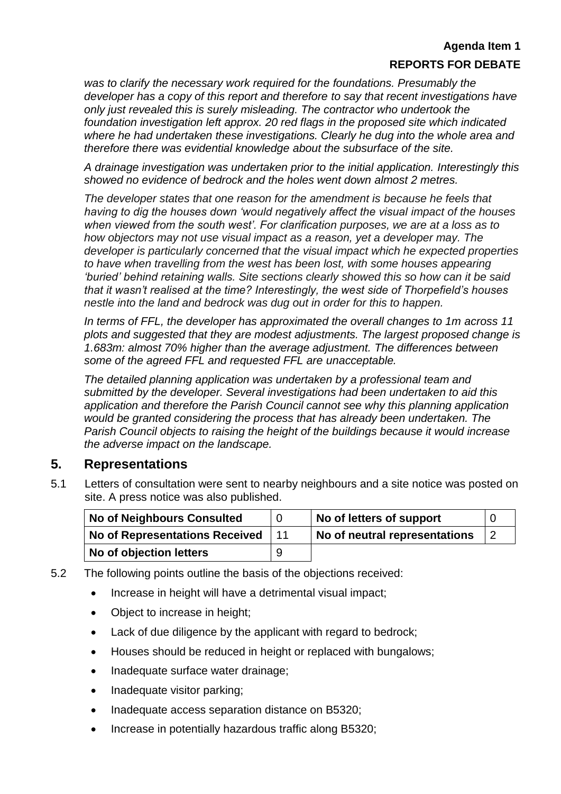*was to clarify the necessary work required for the foundations. Presumably the developer has a copy of this report and therefore to say that recent investigations have only just revealed this is surely misleading. The contractor who undertook the foundation investigation left approx. 20 red flags in the proposed site which indicated where he had undertaken these investigations. Clearly he dug into the whole area and therefore there was evidential knowledge about the subsurface of the site.*

*A drainage investigation was undertaken prior to the initial application. Interestingly this showed no evidence of bedrock and the holes went down almost 2 metres.*

*The developer states that one reason for the amendment is because he feels that having to dig the houses down 'would negatively affect the visual impact of the houses when viewed from the south west'. For clarification purposes, we are at a loss as to how objectors may not use visual impact as a reason, yet a developer may. The developer is particularly concerned that the visual impact which he expected properties to have when travelling from the west has been lost, with some houses appearing 'buried' behind retaining walls. Site sections clearly showed this so how can it be said that it wasn't realised at the time? Interestingly, the west side of Thorpefield's houses nestle into the land and bedrock was dug out in order for this to happen.*

*In terms of FFL, the developer has approximated the overall changes to 1m across 11 plots and suggested that they are modest adjustments. The largest proposed change is 1.683m: almost 70% higher than the average adjustment. The differences between some of the agreed FFL and requested FFL are unacceptable.*

*The detailed planning application was undertaken by a professional team and submitted by the developer. Several investigations had been undertaken to aid this application and therefore the Parish Council cannot see why this planning application would be granted considering the process that has already been undertaken. The Parish Council objects to raising the height of the buildings because it would increase the adverse impact on the landscape.*

# **5. Representations**

5.1 Letters of consultation were sent to nearby neighbours and a site notice was posted on site. A press notice was also published.

| <b>No of Neighbours Consulted</b>     |   | No of letters of support      |  |
|---------------------------------------|---|-------------------------------|--|
| <b>No of Representations Received</b> |   | No of neutral representations |  |
| No of objection letters               | 9 |                               |  |

- 5.2 The following points outline the basis of the objections received:
	- Increase in height will have a detrimental visual impact:
	- Object to increase in height;
	- Lack of due diligence by the applicant with regard to bedrock;
	- Houses should be reduced in height or replaced with bungalows;
	- Inadequate surface water drainage;
	- Inadequate visitor parking;
	- Inadequate access separation distance on B5320;
	- Increase in potentially hazardous traffic along B5320;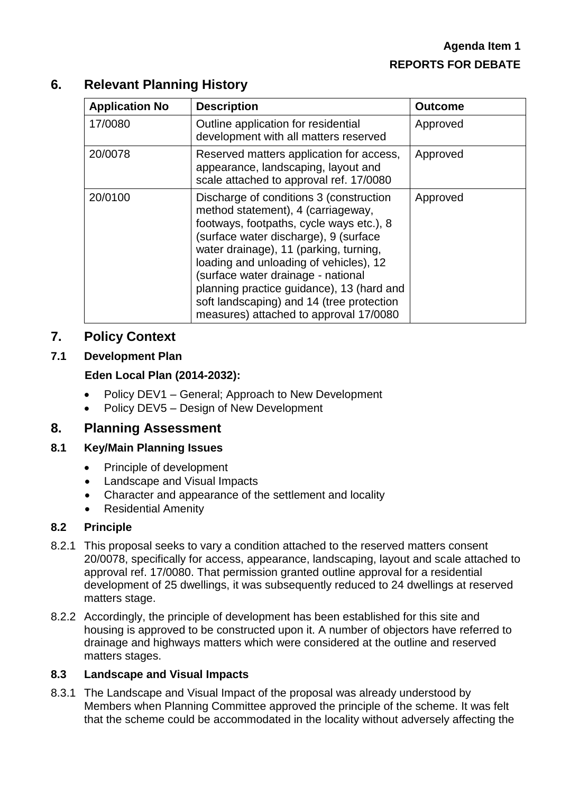# **6. Relevant Planning History**

| <b>Application No</b> | <b>Description</b>                                                                                                                                                                                                                                                                                                                                                                                                               | <b>Outcome</b> |
|-----------------------|----------------------------------------------------------------------------------------------------------------------------------------------------------------------------------------------------------------------------------------------------------------------------------------------------------------------------------------------------------------------------------------------------------------------------------|----------------|
| 17/0080               | Outline application for residential<br>development with all matters reserved                                                                                                                                                                                                                                                                                                                                                     | Approved       |
| 20/0078               | Reserved matters application for access,<br>appearance, landscaping, layout and<br>scale attached to approval ref. 17/0080                                                                                                                                                                                                                                                                                                       | Approved       |
| 20/0100               | Discharge of conditions 3 (construction<br>method statement), 4 (carriageway,<br>footways, footpaths, cycle ways etc.), 8<br>(surface water discharge), 9 (surface<br>water drainage), 11 (parking, turning,<br>loading and unloading of vehicles), 12<br>(surface water drainage - national<br>planning practice guidance), 13 (hard and<br>soft landscaping) and 14 (tree protection<br>measures) attached to approval 17/0080 | Approved       |

## **7. Policy Context**

#### **7.1 Development Plan**

#### **Eden Local Plan (2014-2032):**

- Policy DEV1 General; Approach to New Development
- Policy DEV5 Design of New Development

## **8. Planning Assessment**

#### **8.1 Key/Main Planning Issues**

- Principle of development
- Landscape and Visual Impacts
- Character and appearance of the settlement and locality
- Residential Amenity

#### **8.2 Principle**

- 8.2.1 This proposal seeks to vary a condition attached to the reserved matters consent 20/0078, specifically for access, appearance, landscaping, layout and scale attached to approval ref. 17/0080. That permission granted outline approval for a residential development of 25 dwellings, it was subsequently reduced to 24 dwellings at reserved matters stage.
- 8.2.2 Accordingly, the principle of development has been established for this site and housing is approved to be constructed upon it. A number of objectors have referred to drainage and highways matters which were considered at the outline and reserved matters stages.

#### **8.3 Landscape and Visual Impacts**

8.3.1 The Landscape and Visual Impact of the proposal was already understood by Members when Planning Committee approved the principle of the scheme. It was felt that the scheme could be accommodated in the locality without adversely affecting the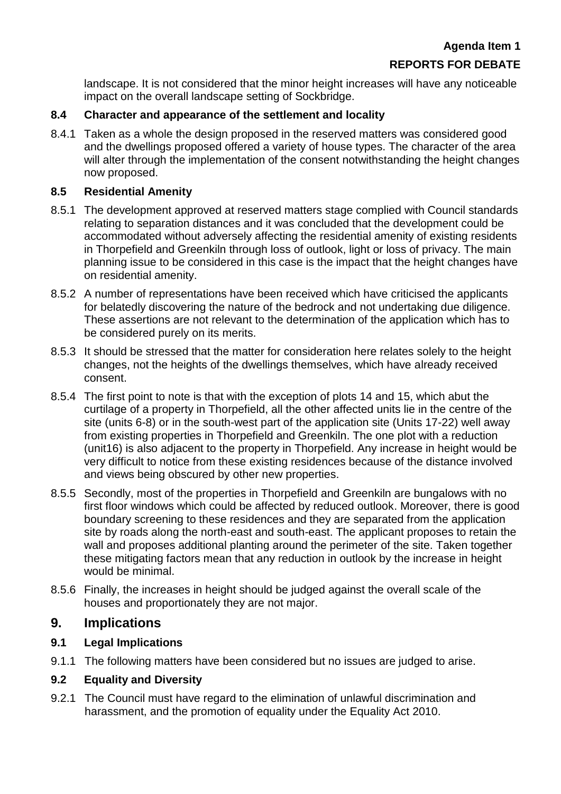landscape. It is not considered that the minor height increases will have any noticeable impact on the overall landscape setting of Sockbridge.

### **8.4 Character and appearance of the settlement and locality**

8.4.1 Taken as a whole the design proposed in the reserved matters was considered good and the dwellings proposed offered a variety of house types. The character of the area will alter through the implementation of the consent notwithstanding the height changes now proposed.

#### **8.5 Residential Amenity**

- 8.5.1 The development approved at reserved matters stage complied with Council standards relating to separation distances and it was concluded that the development could be accommodated without adversely affecting the residential amenity of existing residents in Thorpefield and Greenkiln through loss of outlook, light or loss of privacy. The main planning issue to be considered in this case is the impact that the height changes have on residential amenity.
- 8.5.2 A number of representations have been received which have criticised the applicants for belatedly discovering the nature of the bedrock and not undertaking due diligence. These assertions are not relevant to the determination of the application which has to be considered purely on its merits.
- 8.5.3 It should be stressed that the matter for consideration here relates solely to the height changes, not the heights of the dwellings themselves, which have already received consent.
- 8.5.4 The first point to note is that with the exception of plots 14 and 15, which abut the curtilage of a property in Thorpefield, all the other affected units lie in the centre of the site (units 6-8) or in the south-west part of the application site (Units 17-22) well away from existing properties in Thorpefield and Greenkiln. The one plot with a reduction (unit16) is also adjacent to the property in Thorpefield. Any increase in height would be very difficult to notice from these existing residences because of the distance involved and views being obscured by other new properties.
- 8.5.5 Secondly, most of the properties in Thorpefield and Greenkiln are bungalows with no first floor windows which could be affected by reduced outlook. Moreover, there is good boundary screening to these residences and they are separated from the application site by roads along the north-east and south-east. The applicant proposes to retain the wall and proposes additional planting around the perimeter of the site. Taken together these mitigating factors mean that any reduction in outlook by the increase in height would be minimal.
- 8.5.6 Finally, the increases in height should be judged against the overall scale of the houses and proportionately they are not major.

## **9. Implications**

## **9.1 Legal Implications**

9.1.1 The following matters have been considered but no issues are judged to arise.

## **9.2 Equality and Diversity**

9.2.1 The Council must have regard to the elimination of unlawful discrimination and harassment, and the promotion of equality under the Equality Act 2010.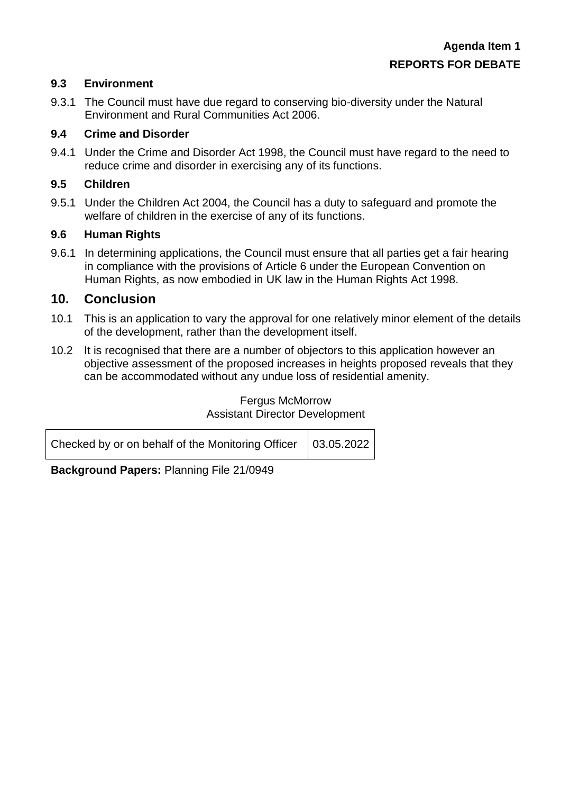#### **9.3 Environment**

9.3.1 The Council must have due regard to conserving bio-diversity under the Natural Environment and Rural Communities Act 2006.

#### **9.4 Crime and Disorder**

9.4.1 Under the Crime and Disorder Act 1998, the Council must have regard to the need to reduce crime and disorder in exercising any of its functions.

### **9.5 Children**

9.5.1 Under the Children Act 2004, the Council has a duty to safeguard and promote the welfare of children in the exercise of any of its functions.

#### **9.6 Human Rights**

9.6.1 In determining applications, the Council must ensure that all parties get a fair hearing in compliance with the provisions of Article 6 under the European Convention on Human Rights, as now embodied in UK law in the Human Rights Act 1998.

## **10. Conclusion**

- 10.1 This is an application to vary the approval for one relatively minor element of the details of the development, rather than the development itself.
- 10.2 It is recognised that there are a number of objectors to this application however an objective assessment of the proposed increases in heights proposed reveals that they can be accommodated without any undue loss of residential amenity.

#### Fergus McMorrow Assistant Director Development

| Checked by or on behalf of the Monitoring Officer $\Big  03.05.2022$ |  |
|----------------------------------------------------------------------|--|
|                                                                      |  |

**Background Papers:** Planning File 21/0949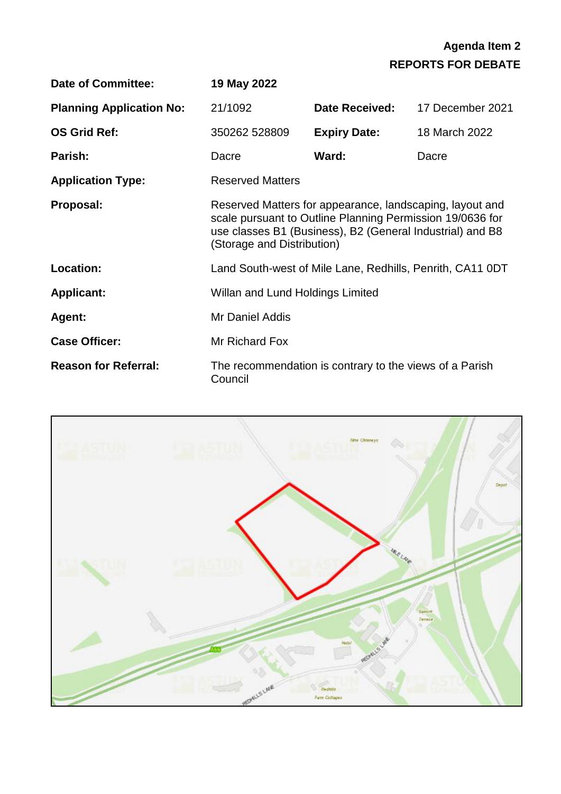| <b>Date of Committee:</b>       | 19 May 2022                                                                                                                                                                                                      |                                                         |                                                           |
|---------------------------------|------------------------------------------------------------------------------------------------------------------------------------------------------------------------------------------------------------------|---------------------------------------------------------|-----------------------------------------------------------|
| <b>Planning Application No:</b> | 21/1092                                                                                                                                                                                                          | <b>Date Received:</b>                                   | 17 December 2021                                          |
| <b>OS Grid Ref:</b>             | 350262 528809                                                                                                                                                                                                    | <b>Expiry Date:</b>                                     | 18 March 2022                                             |
| Parish:                         | Dacre                                                                                                                                                                                                            | Ward:                                                   | Dacre                                                     |
| <b>Application Type:</b>        | <b>Reserved Matters</b>                                                                                                                                                                                          |                                                         |                                                           |
| Proposal:                       | Reserved Matters for appearance, landscaping, layout and<br>scale pursuant to Outline Planning Permission 19/0636 for<br>use classes B1 (Business), B2 (General Industrial) and B8<br>(Storage and Distribution) |                                                         |                                                           |
| Location:                       |                                                                                                                                                                                                                  |                                                         | Land South-west of Mile Lane, Redhills, Penrith, CA11 0DT |
| <b>Applicant:</b>               | Willan and Lund Holdings Limited                                                                                                                                                                                 |                                                         |                                                           |
| Agent:                          | Mr Daniel Addis                                                                                                                                                                                                  |                                                         |                                                           |
| <b>Case Officer:</b>            | Mr Richard Fox                                                                                                                                                                                                   |                                                         |                                                           |
| <b>Reason for Referral:</b>     | Council                                                                                                                                                                                                          | The recommendation is contrary to the views of a Parish |                                                           |

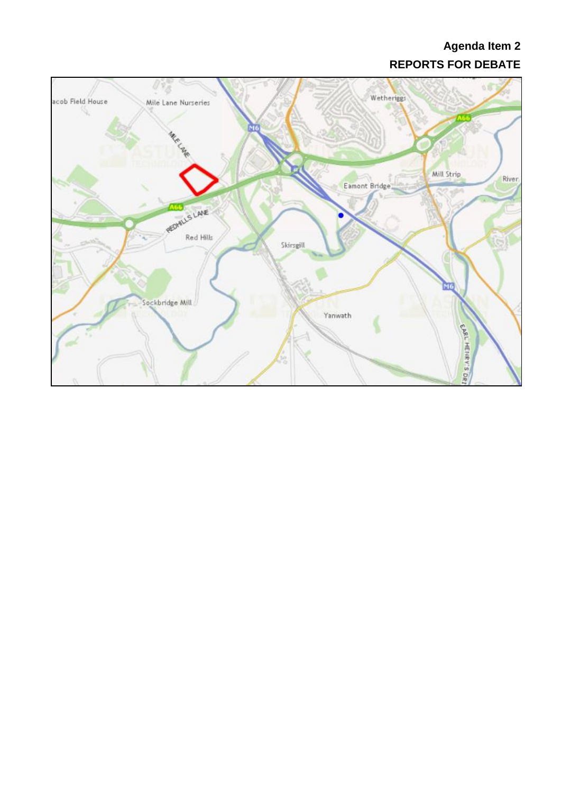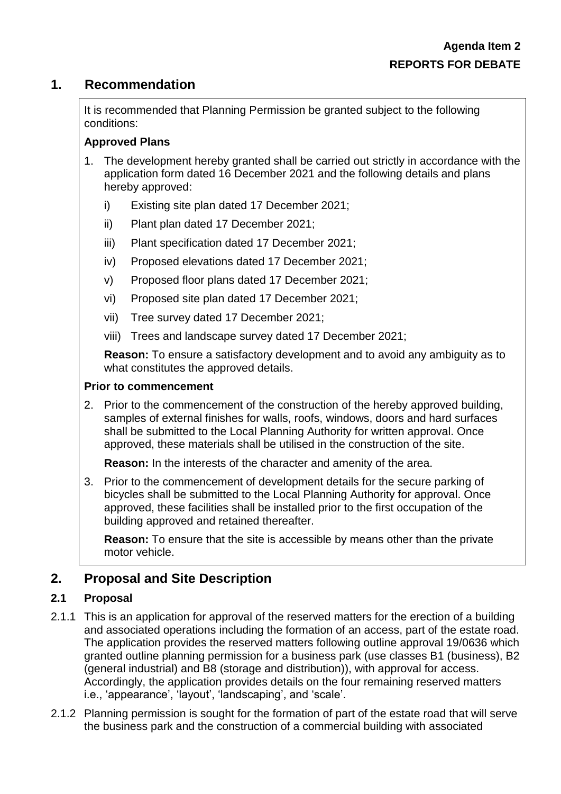# **1. Recommendation**

It is recommended that Planning Permission be granted subject to the following conditions:

## **Approved Plans**

- 1. The development hereby granted shall be carried out strictly in accordance with the application form dated 16 December 2021 and the following details and plans hereby approved:
	- i) Existing site plan dated 17 December 2021;
	- ii) Plant plan dated 17 December 2021;
	- iii) Plant specification dated 17 December 2021;
	- iv) Proposed elevations dated 17 December 2021;
	- v) Proposed floor plans dated 17 December 2021;
	- vi) Proposed site plan dated 17 December 2021;
	- vii) Tree survey dated 17 December 2021;
	- viii) Trees and landscape survey dated 17 December 2021;

**Reason:** To ensure a satisfactory development and to avoid any ambiguity as to what constitutes the approved details.

#### **Prior to commencement**

2. Prior to the commencement of the construction of the hereby approved building, samples of external finishes for walls, roofs, windows, doors and hard surfaces shall be submitted to the Local Planning Authority for written approval. Once approved, these materials shall be utilised in the construction of the site.

**Reason:** In the interests of the character and amenity of the area.

3. Prior to the commencement of development details for the secure parking of bicycles shall be submitted to the Local Planning Authority for approval. Once approved, these facilities shall be installed prior to the first occupation of the building approved and retained thereafter.

**Reason:** To ensure that the site is accessible by means other than the private motor vehicle.

# **2. Proposal and Site Description**

#### **2.1 Proposal**

- 2.1.1 This is an application for approval of the reserved matters for the erection of a building and associated operations including the formation of an access, part of the estate road. The application provides the reserved matters following outline approval 19/0636 which granted outline planning permission for a business park (use classes B1 (business), B2 (general industrial) and B8 (storage and distribution)), with approval for access. Accordingly, the application provides details on the four remaining reserved matters i.e., 'appearance', 'layout', 'landscaping', and 'scale'.
- 2.1.2 Planning permission is sought for the formation of part of the estate road that will serve the business park and the construction of a commercial building with associated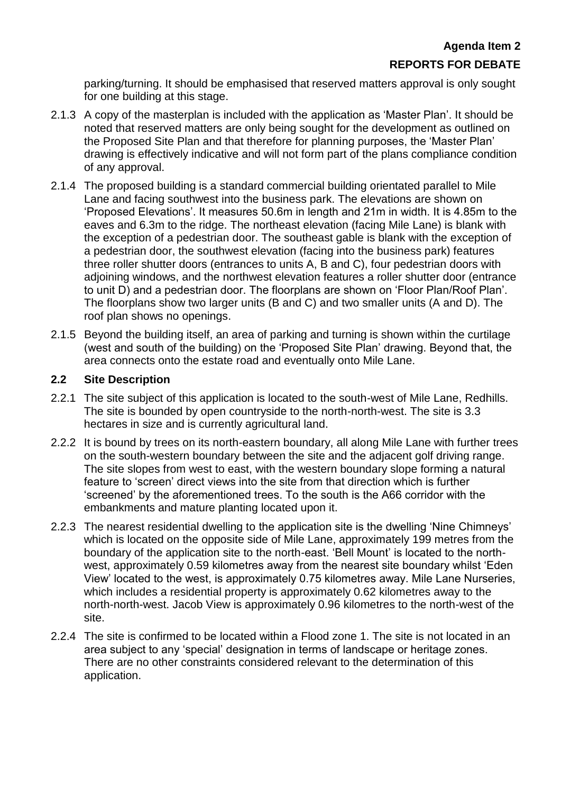parking/turning. It should be emphasised that reserved matters approval is only sought for one building at this stage.

- 2.1.3 A copy of the masterplan is included with the application as 'Master Plan'. It should be noted that reserved matters are only being sought for the development as outlined on the Proposed Site Plan and that therefore for planning purposes, the 'Master Plan' drawing is effectively indicative and will not form part of the plans compliance condition of any approval.
- 2.1.4 The proposed building is a standard commercial building orientated parallel to Mile Lane and facing southwest into the business park. The elevations are shown on 'Proposed Elevations'. It measures 50.6m in length and 21m in width. It is 4.85m to the eaves and 6.3m to the ridge. The northeast elevation (facing Mile Lane) is blank with the exception of a pedestrian door. The southeast gable is blank with the exception of a pedestrian door, the southwest elevation (facing into the business park) features three roller shutter doors (entrances to units A, B and C), four pedestrian doors with adjoining windows, and the northwest elevation features a roller shutter door (entrance to unit D) and a pedestrian door. The floorplans are shown on 'Floor Plan/Roof Plan'. The floorplans show two larger units (B and C) and two smaller units (A and D). The roof plan shows no openings.
- 2.1.5 Beyond the building itself, an area of parking and turning is shown within the curtilage (west and south of the building) on the 'Proposed Site Plan' drawing. Beyond that, the area connects onto the estate road and eventually onto Mile Lane.

#### **2.2 Site Description**

- 2.2.1 The site subject of this application is located to the south-west of Mile Lane, Redhills. The site is bounded by open countryside to the north-north-west. The site is 3.3 hectares in size and is currently agricultural land.
- 2.2.2 It is bound by trees on its north-eastern boundary, all along Mile Lane with further trees on the south-western boundary between the site and the adjacent golf driving range. The site slopes from west to east, with the western boundary slope forming a natural feature to 'screen' direct views into the site from that direction which is further 'screened' by the aforementioned trees. To the south is the A66 corridor with the embankments and mature planting located upon it.
- 2.2.3 The nearest residential dwelling to the application site is the dwelling 'Nine Chimneys' which is located on the opposite side of Mile Lane, approximately 199 metres from the boundary of the application site to the north-east. 'Bell Mount' is located to the northwest, approximately 0.59 kilometres away from the nearest site boundary whilst 'Eden View' located to the west, is approximately 0.75 kilometres away. Mile Lane Nurseries, which includes a residential property is approximately 0.62 kilometres away to the north-north-west. Jacob View is approximately 0.96 kilometres to the north-west of the site.
- 2.2.4 The site is confirmed to be located within a Flood zone 1. The site is not located in an area subject to any 'special' designation in terms of landscape or heritage zones. There are no other constraints considered relevant to the determination of this application.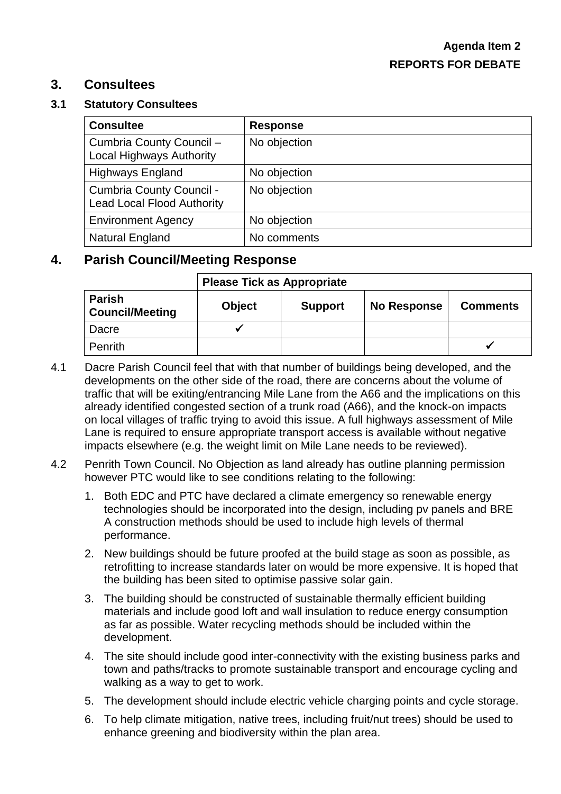# **3. Consultees**

#### **3.1 Statutory Consultees**

| <b>Consultee</b>                                              | <b>Response</b> |
|---------------------------------------------------------------|-----------------|
| Cumbria County Council -<br><b>Local Highways Authority</b>   | No objection    |
| <b>Highways England</b>                                       | No objection    |
| Cumbria County Council -<br><b>Lead Local Flood Authority</b> | No objection    |
| <b>Environment Agency</b>                                     | No objection    |
| <b>Natural England</b>                                        | No comments     |

# **4. Parish Council/Meeting Response**

|                                         | <b>Please Tick as Appropriate</b>                                 |  |  |  |  |
|-----------------------------------------|-------------------------------------------------------------------|--|--|--|--|
| <b>Parish</b><br><b>Council/Meeting</b> | <b>Object</b><br>No Response<br><b>Support</b><br><b>Comments</b> |  |  |  |  |
| Dacre                                   |                                                                   |  |  |  |  |
| <b>Penrith</b>                          |                                                                   |  |  |  |  |

- 4.1 Dacre Parish Council feel that with that number of buildings being developed, and the developments on the other side of the road, there are concerns about the volume of traffic that will be exiting/entrancing Mile Lane from the A66 and the implications on this already identified congested section of a trunk road (A66), and the knock-on impacts on local villages of traffic trying to avoid this issue. A full highways assessment of Mile Lane is required to ensure appropriate transport access is available without negative impacts elsewhere (e.g. the weight limit on Mile Lane needs to be reviewed).
- 4.2 Penrith Town Council. No Objection as land already has outline planning permission however PTC would like to see conditions relating to the following:
	- 1. Both EDC and PTC have declared a climate emergency so renewable energy technologies should be incorporated into the design, including pv panels and BRE A construction methods should be used to include high levels of thermal performance.
	- 2. New buildings should be future proofed at the build stage as soon as possible, as retrofitting to increase standards later on would be more expensive. It is hoped that the building has been sited to optimise passive solar gain.
	- 3. The building should be constructed of sustainable thermally efficient building materials and include good loft and wall insulation to reduce energy consumption as far as possible. Water recycling methods should be included within the development.
	- 4. The site should include good inter-connectivity with the existing business parks and town and paths/tracks to promote sustainable transport and encourage cycling and walking as a way to get to work.
	- 5. The development should include electric vehicle charging points and cycle storage.
	- 6. To help climate mitigation, native trees, including fruit/nut trees) should be used to enhance greening and biodiversity within the plan area.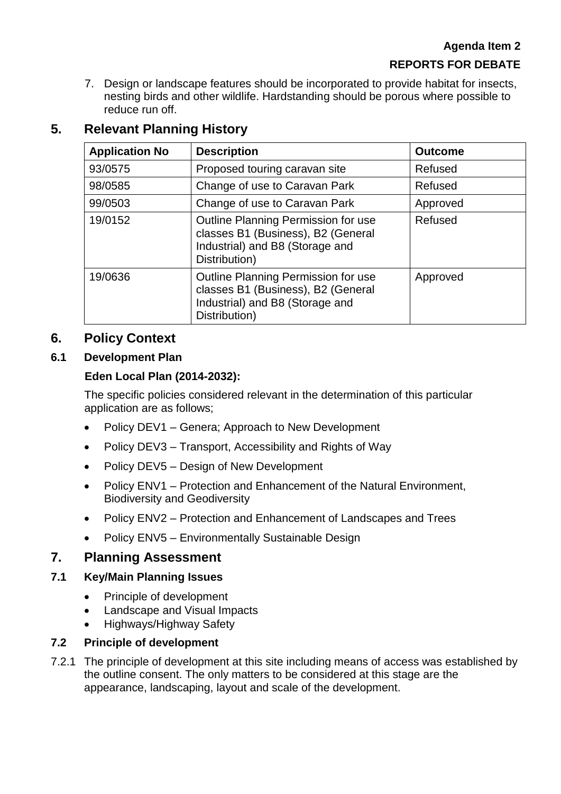7. Design or landscape features should be incorporated to provide habitat for insects, nesting birds and other wildlife. Hardstanding should be porous where possible to reduce run off.

# **5. Relevant Planning History**

| <b>Application No</b> | <b>Description</b>                                                                                                            | <b>Outcome</b> |
|-----------------------|-------------------------------------------------------------------------------------------------------------------------------|----------------|
| 93/0575               | Proposed touring caravan site                                                                                                 | Refused        |
| 98/0585               | Change of use to Caravan Park                                                                                                 | Refused        |
| 99/0503               | Change of use to Caravan Park                                                                                                 | Approved       |
| 19/0152               | Outline Planning Permission for use<br>classes B1 (Business), B2 (General<br>Industrial) and B8 (Storage and<br>Distribution) | Refused        |
| 19/0636               | Outline Planning Permission for use<br>classes B1 (Business), B2 (General<br>Industrial) and B8 (Storage and<br>Distribution) | Approved       |

# **6. Policy Context**

# **6.1 Development Plan**

## **Eden Local Plan (2014-2032):**

The specific policies considered relevant in the determination of this particular application are as follows;

- Policy DEV1 Genera; Approach to New Development
- Policy DEV3 Transport, Accessibility and Rights of Way
- Policy DEV5 Design of New Development
- Policy ENV1 Protection and Enhancement of the Natural Environment, Biodiversity and Geodiversity
- Policy ENV2 Protection and Enhancement of Landscapes and Trees
- Policy ENV5 Environmentally Sustainable Design

# **7. Planning Assessment**

## **7.1 Key/Main Planning Issues**

- Principle of development
- Landscape and Visual Impacts
- Highways/Highway Safety

## **7.2 Principle of development**

7.2.1 The principle of development at this site including means of access was established by the outline consent. The only matters to be considered at this stage are the appearance, landscaping, layout and scale of the development.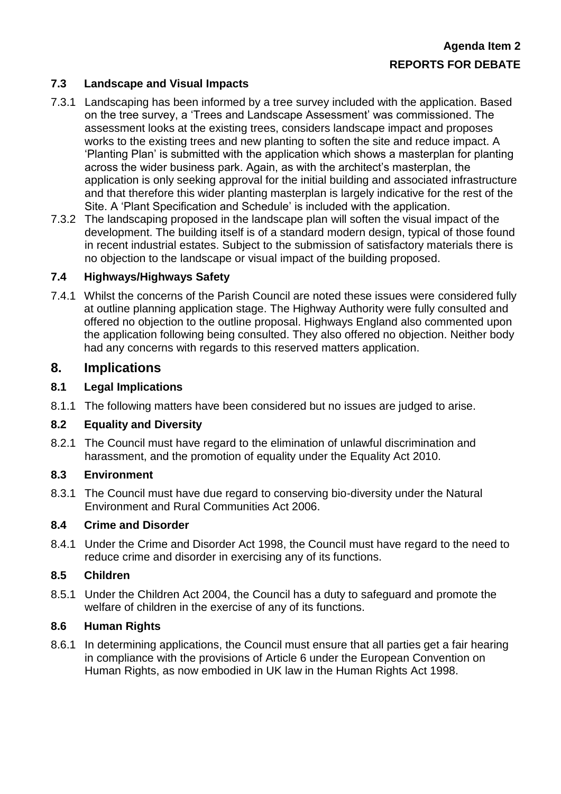## **7.3 Landscape and Visual Impacts**

- 7.3.1 Landscaping has been informed by a tree survey included with the application. Based on the tree survey, a 'Trees and Landscape Assessment' was commissioned. The assessment looks at the existing trees, considers landscape impact and proposes works to the existing trees and new planting to soften the site and reduce impact. A 'Planting Plan' is submitted with the application which shows a masterplan for planting across the wider business park. Again, as with the architect's masterplan, the application is only seeking approval for the initial building and associated infrastructure and that therefore this wider planting masterplan is largely indicative for the rest of the Site. A 'Plant Specification and Schedule' is included with the application.
- 7.3.2 The landscaping proposed in the landscape plan will soften the visual impact of the development. The building itself is of a standard modern design, typical of those found in recent industrial estates. Subject to the submission of satisfactory materials there is no objection to the landscape or visual impact of the building proposed.

#### **7.4 Highways/Highways Safety**

7.4.1 Whilst the concerns of the Parish Council are noted these issues were considered fully at outline planning application stage. The Highway Authority were fully consulted and offered no objection to the outline proposal. Highways England also commented upon the application following being consulted. They also offered no objection. Neither body had any concerns with regards to this reserved matters application.

## **8. Implications**

#### **8.1 Legal Implications**

8.1.1 The following matters have been considered but no issues are judged to arise.

#### **8.2 Equality and Diversity**

8.2.1 The Council must have regard to the elimination of unlawful discrimination and harassment, and the promotion of equality under the Equality Act 2010.

#### **8.3 Environment**

8.3.1 The Council must have due regard to conserving bio-diversity under the Natural Environment and Rural Communities Act 2006.

#### **8.4 Crime and Disorder**

8.4.1 Under the Crime and Disorder Act 1998, the Council must have regard to the need to reduce crime and disorder in exercising any of its functions.

#### **8.5 Children**

8.5.1 Under the Children Act 2004, the Council has a duty to safeguard and promote the welfare of children in the exercise of any of its functions.

#### **8.6 Human Rights**

8.6.1 In determining applications, the Council must ensure that all parties get a fair hearing in compliance with the provisions of Article 6 under the European Convention on Human Rights, as now embodied in UK law in the Human Rights Act 1998.